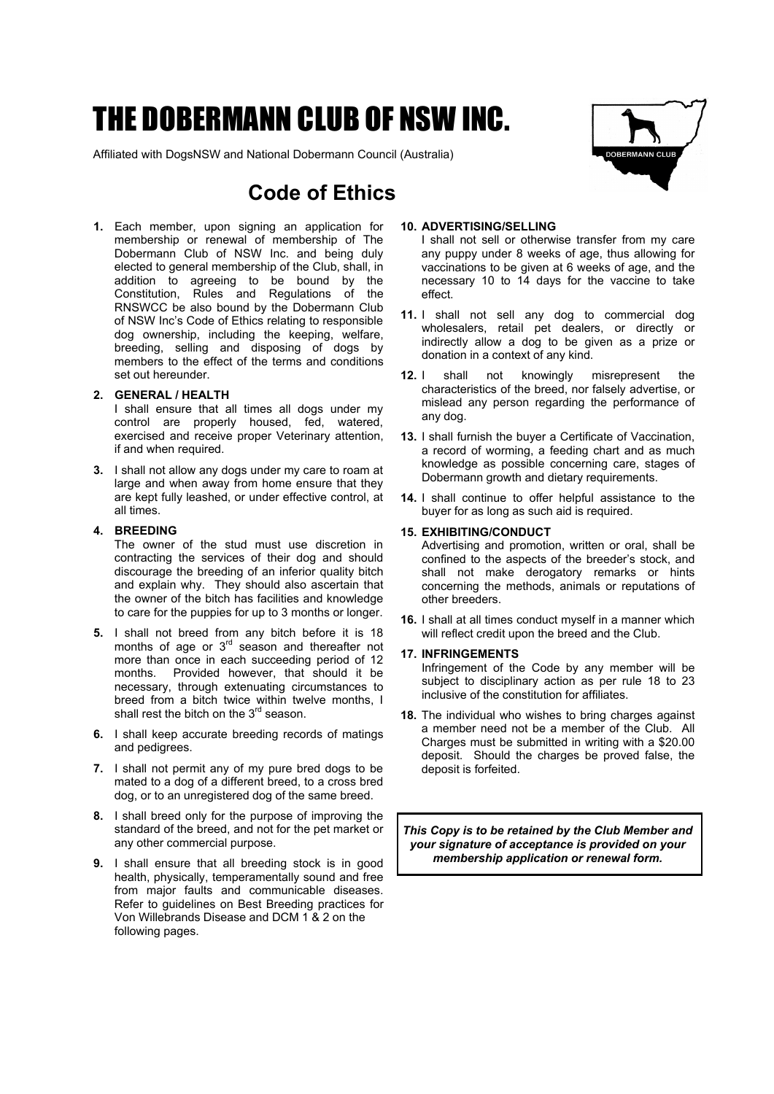# THE DOBERMANN CLUB OF NSW INC.

Affiliated with DogsNSW and National Dobermann Council (Australia)

# **Code of Ethics**

**1.** Each member, upon signing an application for membership or renewal of membership of The Dobermann Club of NSW Inc. and being duly elected to general membership of the Club, shall, in addition to agreeing to be bound by the Constitution, Rules and Regulations of the RNSWCC be also bound by the Dobermann Club of NSW Inc's Code of Ethics relating to responsible dog ownership, including the keeping, welfare, breeding, selling and disposing of dogs by members to the effect of the terms and conditions set out hereunder.

#### **2. GENERAL / HEALTH**

I shall ensure that all times all dogs under my control are properly housed, fed, watered, exercised and receive proper Veterinary attention, if and when required.

**3.** I shall not allow any dogs under my care to roam at large and when away from home ensure that they are kept fully leashed, or under effective control, at all times.

#### **4. BREEDING**

- The owner of the stud must use discretion in contracting the services of their dog and should discourage the breeding of an inferior quality bitch and explain why. They should also ascertain that the owner of the bitch has facilities and knowledge to care for the puppies for up to 3 months or longer.
- **5.** I shall not breed from any bitch before it is 18 months of age or  $3<sup>rd</sup>$  season and thereafter not more than once in each succeeding period of 12 months. Provided however, that should it be necessary, through extenuating circumstances to breed from a bitch twice within twelve months, I shall rest the bitch on the 3<sup>rd</sup> season.
- **6.** I shall keep accurate breeding records of matings and pedigrees.
- **7.** I shall not permit any of my pure bred dogs to be mated to a dog of a different breed, to a cross bred dog, or to an unregistered dog of the same breed.
- **8.** I shall breed only for the purpose of improving the standard of the breed, and not for the pet market or any other commercial purpose.
- **9.** I shall ensure that all breeding stock is in good health, physically, temperamentally sound and free from major faults and communicable diseases. Refer to guidelines on Best Breeding practices for Von Willebrands Disease and DCM 1 & 2 on the following pages.



#### **10. ADVERTISING/SELLING**

I shall not sell or otherwise transfer from my care any puppy under 8 weeks of age, thus allowing for vaccinations to be given at 6 weeks of age, and the necessary 10 to 14 days for the vaccine to take effect.

- **11.** I shall not sell any dog to commercial dog wholesalers, retail pet dealers, or directly or indirectly allow a dog to be given as a prize or donation in a context of any kind.
- **12.** I shall not knowingly misrepresent the characteristics of the breed, nor falsely advertise, or mislead any person regarding the performance of any dog.
- **13.** I shall furnish the buyer a Certificate of Vaccination, a record of worming, a feeding chart and as much knowledge as possible concerning care, stages of Dobermann growth and dietary requirements.
- **14.** I shall continue to offer helpful assistance to the buyer for as long as such aid is required.

#### **15. EXHIBITING/CONDUCT**

Advertising and promotion, written or oral, shall be confined to the aspects of the breeder's stock, and shall not make derogatory remarks or hints concerning the methods, animals or reputations of other breeders.

**16.** I shall at all times conduct myself in a manner which will reflect credit upon the breed and the Club.

#### **17. INFRINGEMENTS**

Infringement of the Code by any member will be subject to disciplinary action as per rule 18 to 23 inclusive of the constitution for affiliates.

**18.** The individual who wishes to bring charges against a member need not be a member of the Club. All Charges must be submitted in writing with a \$20.00 deposit. Should the charges be proved false, the deposit is forfeited.

*This Copy is to be retained by the Club Member and your signature of acceptance is provided on your membership application or renewal form.*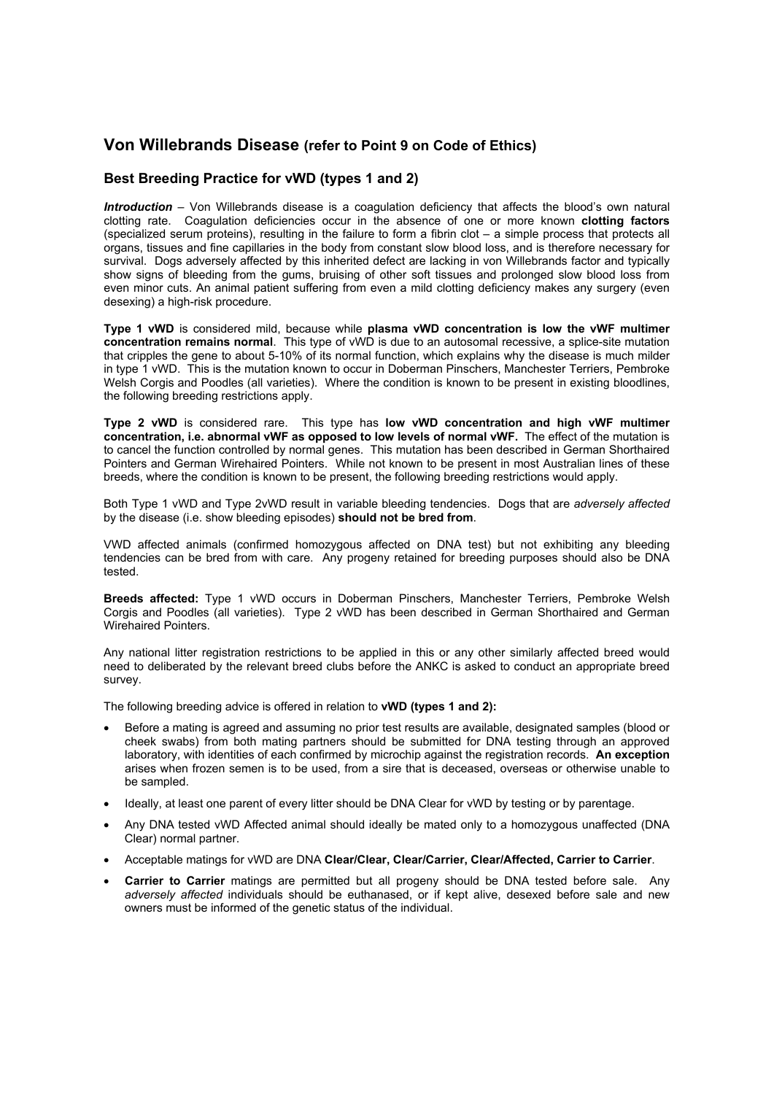## **Von Willebrands Disease (refer to Point 9 on Code of Ethics)**

#### **Best Breeding Practice for vWD (types 1 and 2)**

*Introduction* – Von Willebrands disease is a coagulation deficiency that affects the blood's own natural clotting rate. Coagulation deficiencies occur in the absence of one or more known **clotting factors**  (specialized serum proteins), resulting in the failure to form a fibrin clot – a simple process that protects all organs, tissues and fine capillaries in the body from constant slow blood loss, and is therefore necessary for survival. Dogs adversely affected by this inherited defect are lacking in von Willebrands factor and typically show signs of bleeding from the gums, bruising of other soft tissues and prolonged slow blood loss from even minor cuts. An animal patient suffering from even a mild clotting deficiency makes any surgery (even desexing) a high-risk procedure.

**Type 1 vWD** is considered mild, because while **plasma vWD concentration is low the vWF multimer concentration remains normal**. This type of vWD is due to an autosomal recessive, a splice-site mutation that cripples the gene to about 5-10% of its normal function, which explains why the disease is much milder in type 1 vWD. This is the mutation known to occur in Doberman Pinschers, Manchester Terriers, Pembroke Welsh Corgis and Poodles (all varieties). Where the condition is known to be present in existing bloodlines, the following breeding restrictions apply.

**Type 2 vWD** is considered rare. This type has **low vWD concentration and high vWF multimer concentration, i.e. abnormal vWF as opposed to low levels of normal vWF.** The effect of the mutation is to cancel the function controlled by normal genes. This mutation has been described in German Shorthaired Pointers and German Wirehaired Pointers. While not known to be present in most Australian lines of these breeds, where the condition is known to be present, the following breeding restrictions would apply.

Both Type 1 vWD and Type 2vWD result in variable bleeding tendencies. Dogs that are *adversely affected*  by the disease (i.e. show bleeding episodes) **should not be bred from**.

VWD affected animals (confirmed homozygous affected on DNA test) but not exhibiting any bleeding tendencies can be bred from with care. Any progeny retained for breeding purposes should also be DNA tested.

**Breeds affected:** Type 1 vWD occurs in Doberman Pinschers, Manchester Terriers, Pembroke Welsh Corgis and Poodles (all varieties). Type 2 vWD has been described in German Shorthaired and German Wirehaired Pointers.

Any national litter registration restrictions to be applied in this or any other similarly affected breed would need to deliberated by the relevant breed clubs before the ANKC is asked to conduct an appropriate breed survey.

The following breeding advice is offered in relation to **vWD (types 1 and 2):**

- Before a mating is agreed and assuming no prior test results are available, designated samples (blood or cheek swabs) from both mating partners should be submitted for DNA testing through an approved laboratory, with identities of each confirmed by microchip against the registration records. **An exception** arises when frozen semen is to be used, from a sire that is deceased, overseas or otherwise unable to be sampled.
- Ideally, at least one parent of every litter should be DNA Clear for vWD by testing or by parentage.
- Any DNA tested vWD Affected animal should ideally be mated only to a homozygous unaffected (DNA Clear) normal partner.
- Acceptable matings for vWD are DNA **Clear/Clear, Clear/Carrier, Clear/Affected, Carrier to Carrier**.
- **Carrier to Carrier** matings are permitted but all progeny should be DNA tested before sale. Any *adversely affected* individuals should be euthanased, or if kept alive, desexed before sale and new owners must be informed of the genetic status of the individual.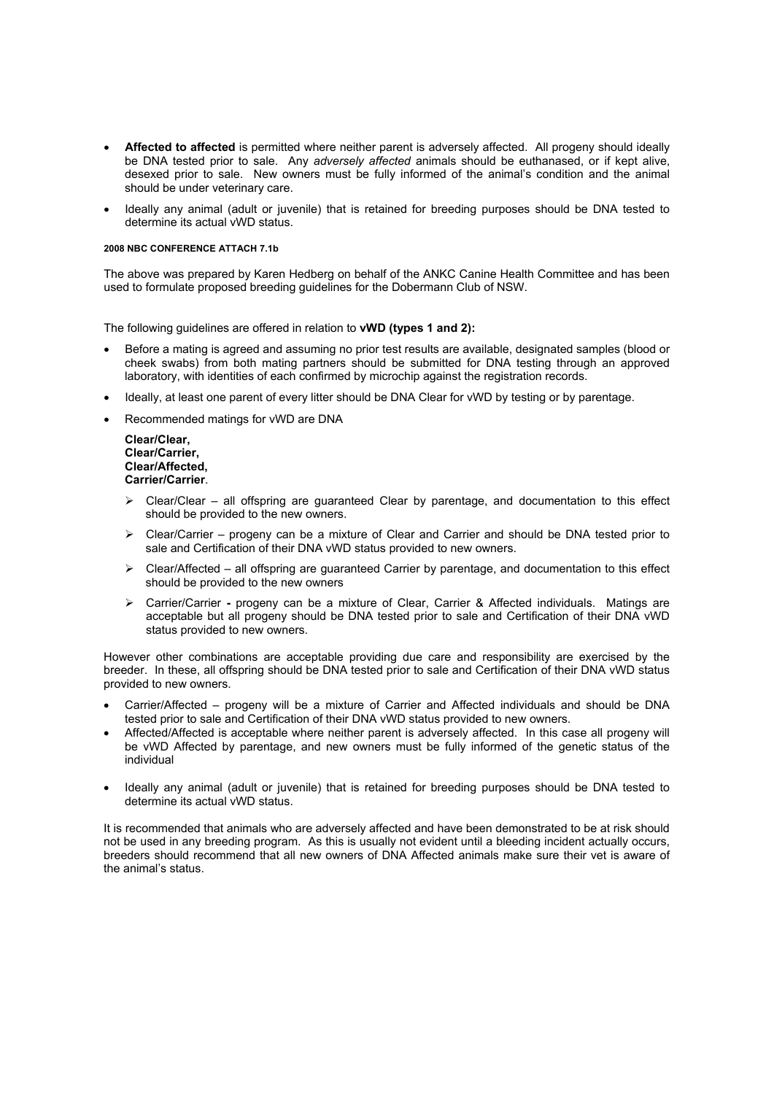- **Affected to affected** is permitted where neither parent is adversely affected. All progeny should ideally be DNA tested prior to sale. Any *adversely affected* animals should be euthanased, or if kept alive, desexed prior to sale. New owners must be fully informed of the animal's condition and the animal should be under veterinary care.
- Ideally any animal (adult or juvenile) that is retained for breeding purposes should be DNA tested to determine its actual vWD status.

#### **2008 NBC CONFERENCE ATTACH 7.1b**

The above was prepared by Karen Hedberg on behalf of the ANKC Canine Health Committee and has been used to formulate proposed breeding guidelines for the Dobermann Club of NSW.

The following guidelines are offered in relation to **vWD (types 1 and 2):**

- Before a mating is agreed and assuming no prior test results are available, designated samples (blood or cheek swabs) from both mating partners should be submitted for DNA testing through an approved laboratory, with identities of each confirmed by microchip against the registration records.
- Ideally, at least one parent of every litter should be DNA Clear for vWD by testing or by parentage.
- Recommended matings for vWD are DNA

| Clear/Clear.     |
|------------------|
| Clear/Carrier.   |
| Clear/Affected,  |
| Carrier/Carrier. |

- $\triangleright$  Clear/Clear all offspring are guaranteed Clear by parentage, and documentation to this effect should be provided to the new owners.
- $\triangleright$  Clear/Carrier progeny can be a mixture of Clear and Carrier and should be DNA tested prior to sale and Certification of their DNA vWD status provided to new owners.
- $\triangleright$  Clear/Affected all offspring are quaranteed Carrier by parentage, and documentation to this effect should be provided to the new owners
- ¾ Carrier/Carrier **-** progeny can be a mixture of Clear, Carrier & Affected individuals. Matings are acceptable but all progeny should be DNA tested prior to sale and Certification of their DNA vWD status provided to new owners.

However other combinations are acceptable providing due care and responsibility are exercised by the breeder. In these, all offspring should be DNA tested prior to sale and Certification of their DNA vWD status provided to new owners.

- Carrier/Affected progeny will be a mixture of Carrier and Affected individuals and should be DNA tested prior to sale and Certification of their DNA vWD status provided to new owners.
- Affected/Affected is acceptable where neither parent is adversely affected. In this case all progeny will be vWD Affected by parentage, and new owners must be fully informed of the genetic status of the individual
- Ideally any animal (adult or juvenile) that is retained for breeding purposes should be DNA tested to determine its actual vWD status.

It is recommended that animals who are adversely affected and have been demonstrated to be at risk should not be used in any breeding program. As this is usually not evident until a bleeding incident actually occurs, breeders should recommend that all new owners of DNA Affected animals make sure their vet is aware of the animal's status.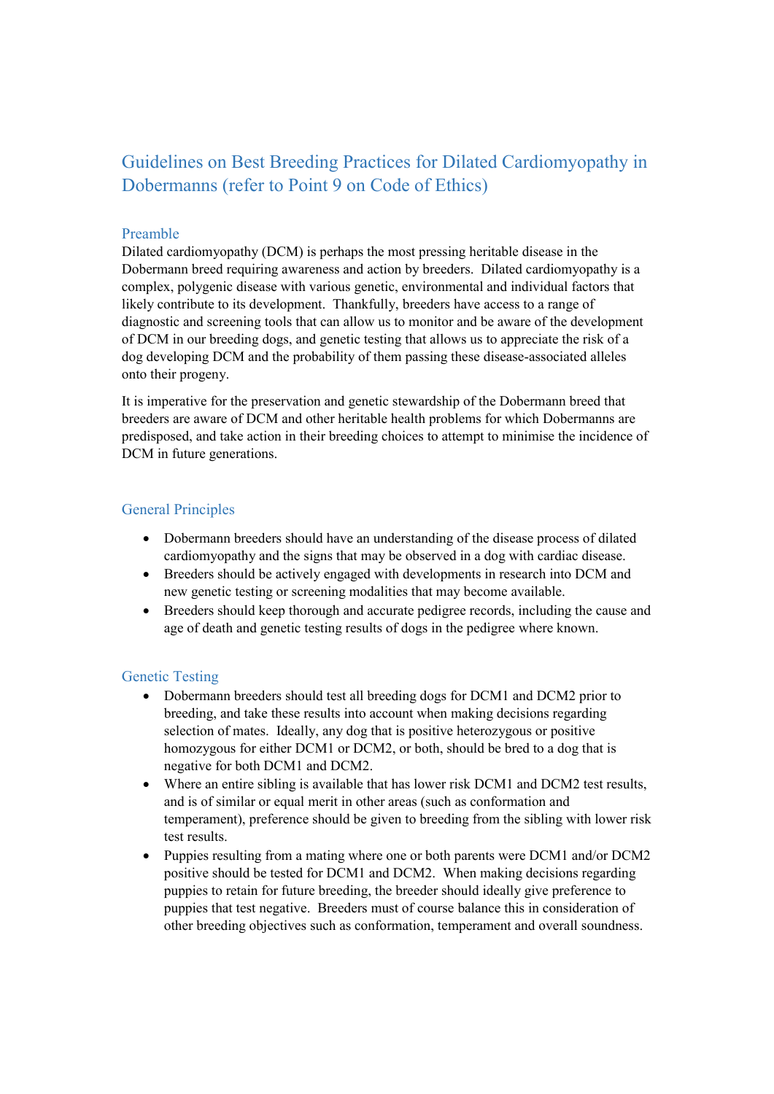# Guidelines on Best Breeding Practices for Dilated Cardiomyopathy in Dobermanns (refer to Point 9 on Code of Ethics)

### Preamble

Dilated cardiomyopathy (DCM) is perhaps the most pressing heritable disease in the Dobermann breed requiring awareness and action by breeders. Dilated cardiomyopathy is a complex, polygenic disease with various genetic, environmental and individual factors that likely contribute to its development. Thankfully, breeders have access to a range of diagnostic and screening tools that can allow us to monitor and be aware of the development of DCM in our breeding dogs, and genetic testing that allows us to appreciate the risk of a dog developing DCM and the probability of them passing these disease-associated alleles onto their progeny.

It is imperative for the preservation and genetic stewardship of the Dobermann breed that breeders are aware of DCM and other heritable health problems for which Dobermanns are predisposed, and take action in their breeding choices to attempt to minimise the incidence of DCM in future generations.

# General Principles

- Dobermann breeders should have an understanding of the disease process of dilated cardiomyopathy and the signs that may be observed in a dog with cardiac disease.
- Breeders should be actively engaged with developments in research into DCM and new genetic testing or screening modalities that may become available.
- Breeders should keep thorough and accurate pedigree records, including the cause and age of death and genetic testing results of dogs in the pedigree where known.

# Genetic Testing

- Dobermann breeders should test all breeding dogs for DCM1 and DCM2 prior to breeding, and take these results into account when making decisions regarding selection of mates. Ideally, any dog that is positive heterozygous or positive homozygous for either DCM1 or DCM2, or both, should be bred to a dog that is negative for both DCM1 and DCM2.
- x Where an entire sibling is available that has lower risk DCM1 and DCM2 test results, and is of similar or equal merit in other areas (such as conformation and temperament), preference should be given to breeding from the sibling with lower risk test results.
- Puppies resulting from a mating where one or both parents were DCM1 and/or DCM2 positive should be tested for DCM1 and DCM2. When making decisions regarding puppies to retain for future breeding, the breeder should ideally give preference to puppies that test negative. Breeders must of course balance this in consideration of other breeding objectives such as conformation, temperament and overall soundness.